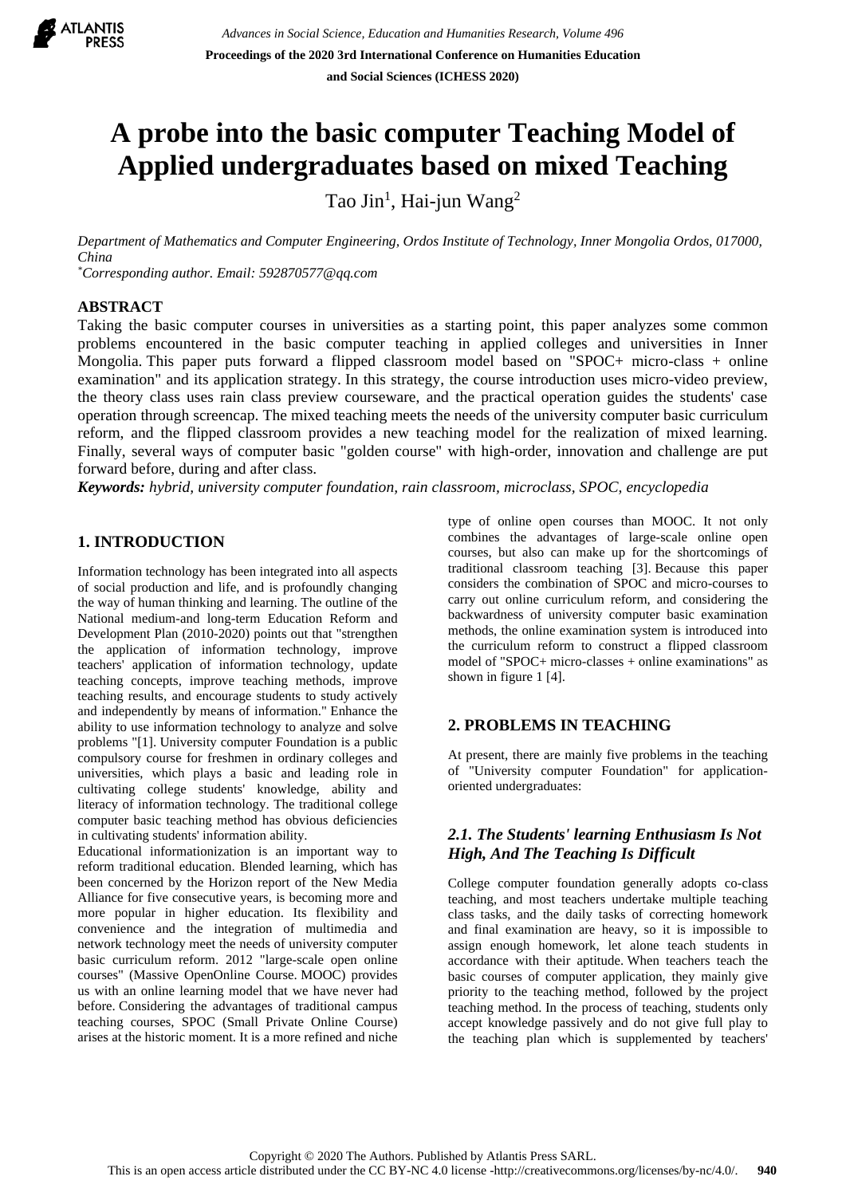

# **A probe into the basic computer Teaching Model of Applied undergraduates based on mixed Teaching**

Tao Jin<sup>1</sup>, Hai-jun Wang<sup>2</sup>

*Department of Mathematics and Computer Engineering, Ordos Institute of Technology, Inner Mongolia Ordos, 017000, China*

*\*Corresponding author. Email: 592870577@qq.com*

## **ABSTRACT**

Taking the basic computer courses in universities as a starting point, this paper analyzes some common problems encountered in the basic computer teaching in applied colleges and universities in Inner Mongolia. This paper puts forward a flipped classroom model based on "SPOC+ micro-class + online examination" and its application strategy. In this strategy, the course introduction uses micro-video preview, the theory class uses rain class preview courseware, and the practical operation guides the students' case operation through screencap. The mixed teaching meets the needs of the university computer basic curriculum reform, and the flipped classroom provides a new teaching model for the realization of mixed learning. Finally, several ways of computer basic "golden course" with high-order, innovation and challenge are put forward before, during and after class.

*Keywords: hybrid, university computer foundation, rain classroom, microclass, SPOC, encyclopedia*

# **1. INTRODUCTION**

Information technology has been integrated into all aspects of social production and life, and is profoundly changing the way of human thinking and learning. The outline of the National medium-and long-term Education Reform and Development Plan (2010-2020) points out that "strengthen the application of information technology, improve teachers' application of information technology, update teaching concepts, improve teaching methods, improve teaching results, and encourage students to study actively and independently by means of information." Enhance the ability to use information technology to analyze and solve problems "[1]. University computer Foundation is a public compulsory course for freshmen in ordinary colleges and universities, which plays a basic and leading role in cultivating college students' knowledge, ability and literacy of information technology. The traditional college computer basic teaching method has obvious deficiencies in cultivating students' information ability.

Educational informationization is an important way to reform traditional education. Blended learning, which has been concerned by the Horizon report of the New Media Alliance for five consecutive years, is becoming more and more popular in higher education. Its flexibility and convenience and the integration of multimedia and network technology meet the needs of university computer basic curriculum reform. 2012 "large-scale open online courses" (Massive OpenOnline Course. MOOC) provides us with an online learning model that we have never had before. Considering the advantages of traditional campus teaching courses, SPOC (Small Private Online Course) arises at the historic moment. It is a more refined and niche

type of online open courses than MOOC. It not only combines the advantages of large-scale online open courses, but also can make up for the shortcomings of traditional classroom teaching [3]. Because this paper considers the combination of SPOC and micro-courses to carry out online curriculum reform, and considering the backwardness of university computer basic examination methods, the online examination system is introduced into the curriculum reform to construct a flipped classroom model of "SPOC+ micro-classes + online examinations" as shown in figure 1 [4].

# **2. PROBLEMS IN TEACHING**

At present, there are mainly five problems in the teaching of "University computer Foundation" for applicationoriented undergraduates:

# *2.1. The Students' learning Enthusiasm Is Not High, And The Teaching Is Difficult*

College computer foundation generally adopts co-class teaching, and most teachers undertake multiple teaching class tasks, and the daily tasks of correcting homework and final examination are heavy, so it is impossible to assign enough homework, let alone teach students in accordance with their aptitude. When teachers teach the basic courses of computer application, they mainly give priority to the teaching method, followed by the project teaching method. In the process of teaching, students only accept knowledge passively and do not give full play to the teaching plan which is supplemented by teachers'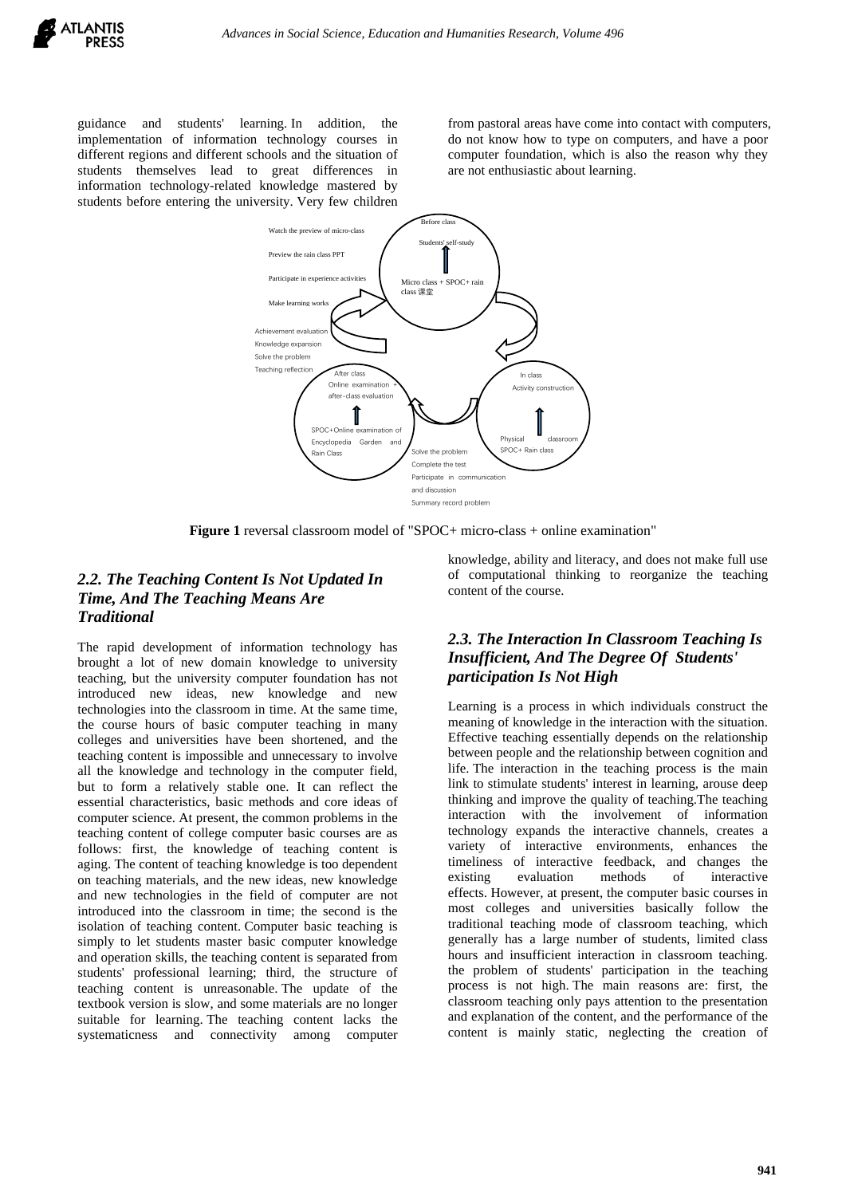guidance and students' learning. In addition, the implementation of information technology courses in different regions and different schools and the situation of students themselves lead to great differences in information technology-related knowledge mastered by students before entering the university. Very few children

from pastoral areas have come into contact with computers, do not know how to type on computers, and have a poor computer foundation, which is also the reason why they are not enthusiastic about learning.



**Figure 1** reversal classroom model of "SPOC+ micro-class + online examination"

# *2.2. The Teaching Content Is Not Updated In Time, And The Teaching Means Are Traditional*

The rapid development of information technology has brought a lot of new domain knowledge to university teaching, but the university computer foundation has not introduced new ideas, new knowledge and new technologies into the classroom in time. At the same time, the course hours of basic computer teaching in many colleges and universities have been shortened, and the teaching content is impossible and unnecessary to involve all the knowledge and technology in the computer field, but to form a relatively stable one. It can reflect the essential characteristics, basic methods and core ideas of computer science. At present, the common problems in the teaching content of college computer basic courses are as follows: first, the knowledge of teaching content is aging. The content of teaching knowledge is too dependent on teaching materials, and the new ideas, new knowledge and new technologies in the field of computer are not introduced into the classroom in time; the second is the isolation of teaching content. Computer basic teaching is simply to let students master basic computer knowledge and operation skills, the teaching content is separated from students' professional learning; third, the structure of teaching content is unreasonable. The update of the textbook version is slow, and some materials are no longer suitable for learning. The teaching content lacks the systematicness and connectivity among computer

knowledge, ability and literacy, and does not make full use of computational thinking to reorganize the teaching content of the course.

## *2.3. The Interaction In Classroom Teaching Is Insufficient, And The Degree Of Students' participation Is Not High*

Learning is a process in which individuals construct the meaning of knowledge in the interaction with the situation. Effective teaching essentially depends on the relationship between people and the relationship between cognition and life. The interaction in the teaching process is the main link to stimulate students' interest in learning, arouse deep thinking and improve the quality of teaching.The teaching interaction with the involvement of information technology expands the interactive channels, creates a variety of interactive environments, enhances the timeliness of interactive feedback, and changes the existing evaluation methods of interactive effects. However, at present, the computer basic courses in most colleges and universities basically follow the traditional teaching mode of classroom teaching, which generally has a large number of students, limited class hours and insufficient interaction in classroom teaching. the problem of students' participation in the teaching process is not high. The main reasons are: first, the classroom teaching only pays attention to the presentation and explanation of the content, and the performance of the content is mainly static, neglecting the creation of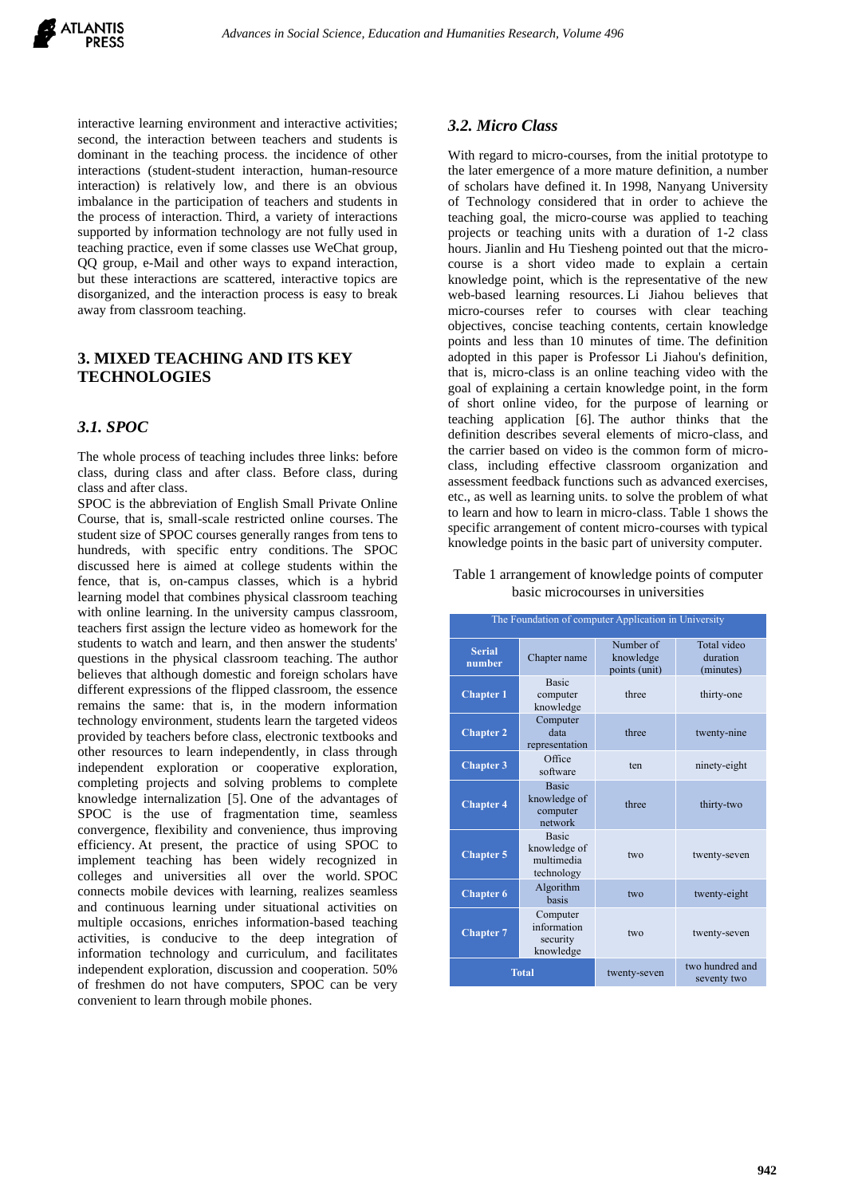

interactive learning environment and interactive activities; second, the interaction between teachers and students is dominant in the teaching process. the incidence of other interactions (student-student interaction, human-resource interaction) is relatively low, and there is an obvious imbalance in the participation of teachers and students in the process of interaction. Third, a variety of interactions supported by information technology are not fully used in teaching practice, even if some classes use WeChat group, QQ group, e-Mail and other ways to expand interaction, but these interactions are scattered, interactive topics are disorganized, and the interaction process is easy to break away from classroom teaching.

## **3. MIXED TEACHING AND ITS KEY TECHNOLOGIES**

## *3.1. SPOC*

The whole process of teaching includes three links: before class, during class and after class. Before class, during class and after class.

SPOC is the abbreviation of English Small Private Online Course, that is, small-scale restricted online courses. The student size of SPOC courses generally ranges from tens to hundreds, with specific entry conditions. The SPOC discussed here is aimed at college students within the fence, that is, on-campus classes, which is a hybrid learning model that combines physical classroom teaching with online learning. In the university campus classroom, teachers first assign the lecture video as homework for the students to watch and learn, and then answer the students' questions in the physical classroom teaching. The author believes that although domestic and foreign scholars have different expressions of the flipped classroom, the essence remains the same: that is, in the modern information technology environment, students learn the targeted videos provided by teachers before class, electronic textbooks and other resources to learn independently, in class through independent exploration or cooperative exploration, completing projects and solving problems to complete knowledge internalization [5]. One of the advantages of SPOC is the use of fragmentation time, seamless convergence, flexibility and convenience, thus improving efficiency. At present, the practice of using SPOC to implement teaching has been widely recognized in colleges and universities all over the world. SPOC connects mobile devices with learning, realizes seamless and continuous learning under situational activities on multiple occasions, enriches information-based teaching activities, is conducive to the deep integration of information technology and curriculum, and facilitates independent exploration, discussion and cooperation. 50% of freshmen do not have computers, SPOC can be very convenient to learn through mobile phones.

#### *3.2. Micro Class*

With regard to micro-courses, from the initial prototype to the later emergence of a more mature definition, a number of scholars have defined it. In 1998, Nanyang University of Technology considered that in order to achieve the teaching goal, the micro-course was applied to teaching projects or teaching units with a duration of 1-2 class hours. Jianlin and Hu Tiesheng pointed out that the microcourse is a short video made to explain a certain knowledge point, which is the representative of the new web-based learning resources. Li Jiahou believes that micro-courses refer to courses with clear teaching objectives, concise teaching contents, certain knowledge points and less than 10 minutes of time. The definition adopted in this paper is Professor Li Jiahou's definition, that is, micro-class is an online teaching video with the goal of explaining a certain knowledge point, in the form of short online video, for the purpose of learning or teaching application [6]. The author thinks that the definition describes several elements of micro-class, and the carrier based on video is the common form of microclass, including effective classroom organization and assessment feedback functions such as advanced exercises, etc., as well as learning units. to solve the problem of what to learn and how to learn in micro-class. Table 1 shows the specific arrangement of content micro-courses with typical knowledge points in the basic part of university computer.

#### Table 1 arrangement of knowledge points of computer basic microcourses in universities

| The Foundation of computer Application in University |                                                          |                                         |                                      |
|------------------------------------------------------|----------------------------------------------------------|-----------------------------------------|--------------------------------------|
| <b>Serial</b><br>number                              | Chapter name                                             | Number of<br>knowledge<br>points (unit) | Total video<br>duration<br>(minutes) |
| Chapter <sub>1</sub>                                 | <b>Basic</b><br>computer<br>knowledge                    | three                                   | thirty-one                           |
| <b>Chapter 2</b>                                     | Computer<br>data<br>representation                       | three                                   | twenty-nine                          |
| <b>Chapter 3</b>                                     | Office<br>software                                       | ten                                     | ninety-eight                         |
| <b>Chapter 4</b>                                     | <b>Basic</b><br>knowledge of<br>computer<br>network      | three                                   | thirty-two                           |
| <b>Chapter 5</b>                                     | <b>Basic</b><br>knowledge of<br>multimedia<br>technology | two                                     | twenty-seven                         |
| <b>Chapter 6</b>                                     | Algorithm<br>basis                                       | two                                     | twenty-eight                         |
| <b>Chapter 7</b>                                     | Computer<br>information<br>security<br>knowledge         | two                                     | twenty-seven                         |
| <b>Total</b>                                         |                                                          | twenty-seven                            | two hundred and<br>seventy two       |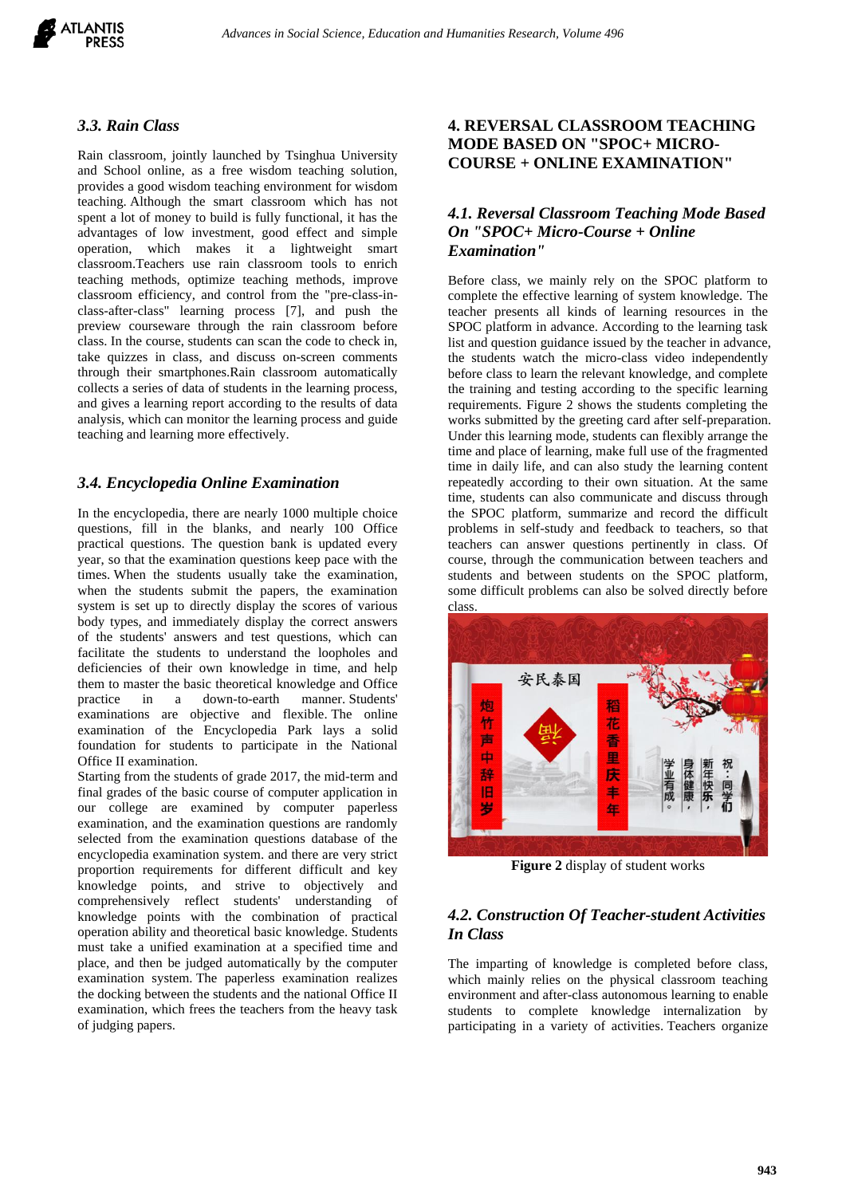

#### *3.3. Rain Class*

Rain classroom, jointly launched by Tsinghua University and School online, as a free wisdom teaching solution, provides a good wisdom teaching environment for wisdom teaching. Although the smart classroom which has not spent a lot of money to build is fully functional, it has the advantages of low investment, good effect and simple operation, which makes it a lightweight smart classroom.Teachers use rain classroom tools to enrich teaching methods, optimize teaching methods, improve classroom efficiency, and control from the "pre-class-inclass-after-class" learning process [7], and push the preview courseware through the rain classroom before class. In the course, students can scan the code to check in, take quizzes in class, and discuss on-screen comments through their smartphones.Rain classroom automatically collects a series of data of students in the learning process, and gives a learning report according to the results of data analysis, which can monitor the learning process and guide teaching and learning more effectively.

#### *3.4. Encyclopedia Online Examination*

In the encyclopedia, there are nearly 1000 multiple choice questions, fill in the blanks, and nearly 100 Office practical questions. The question bank is updated every year, so that the examination questions keep pace with the times. When the students usually take the examination, when the students submit the papers, the examination system is set up to directly display the scores of various body types, and immediately display the correct answers of the students' answers and test questions, which can facilitate the students to understand the loopholes and deficiencies of their own knowledge in time, and help them to master the basic theoretical knowledge and Office practice in a down-to-earth manner. Students' examinations are objective and flexible. The online examination of the Encyclopedia Park lays a solid foundation for students to participate in the National Office II examination.

Starting from the students of grade 2017, the mid-term and final grades of the basic course of computer application in our college are examined by computer paperless examination, and the examination questions are randomly selected from the examination questions database of the encyclopedia examination system. and there are very strict proportion requirements for different difficult and key knowledge points, and strive to objectively and comprehensively reflect students' understanding of knowledge points with the combination of practical operation ability and theoretical basic knowledge. Students must take a unified examination at a specified time and place, and then be judged automatically by the computer examination system. The paperless examination realizes the docking between the students and the national Office II examination, which frees the teachers from the heavy task of judging papers.

## **4. REVERSAL CLASSROOM TEACHING MODE BASED ON "SPOC+ MICRO-COURSE + ONLINE EXAMINATION"**

## *4.1. Reversal Classroom Teaching Mode Based On "SPOC+ Micro-Course + Online Examination"*

Before class, we mainly rely on the SPOC platform to complete the effective learning of system knowledge. The teacher presents all kinds of learning resources in the SPOC platform in advance. According to the learning task list and question guidance issued by the teacher in advance, the students watch the micro-class video independently before class to learn the relevant knowledge, and complete the training and testing according to the specific learning requirements. Figure 2 shows the students completing the works submitted by the greeting card after self-preparation. Under this learning mode, students can flexibly arrange the time and place of learning, make full use of the fragmented time in daily life, and can also study the learning content repeatedly according to their own situation. At the same time, students can also communicate and discuss through the SPOC platform, summarize and record the difficult problems in self-study and feedback to teachers, so that teachers can answer questions pertinently in class. Of course, through the communication between teachers and students and between students on the SPOC platform, some difficult problems can also be solved directly before class.



**Figure 2** display of student works

## *4.2. Construction Of Teacher-student Activities In Class*

The imparting of knowledge is completed before class, which mainly relies on the physical classroom teaching environment and after-class autonomous learning to enable students to complete knowledge internalization by participating in a variety of activities. Teachers organize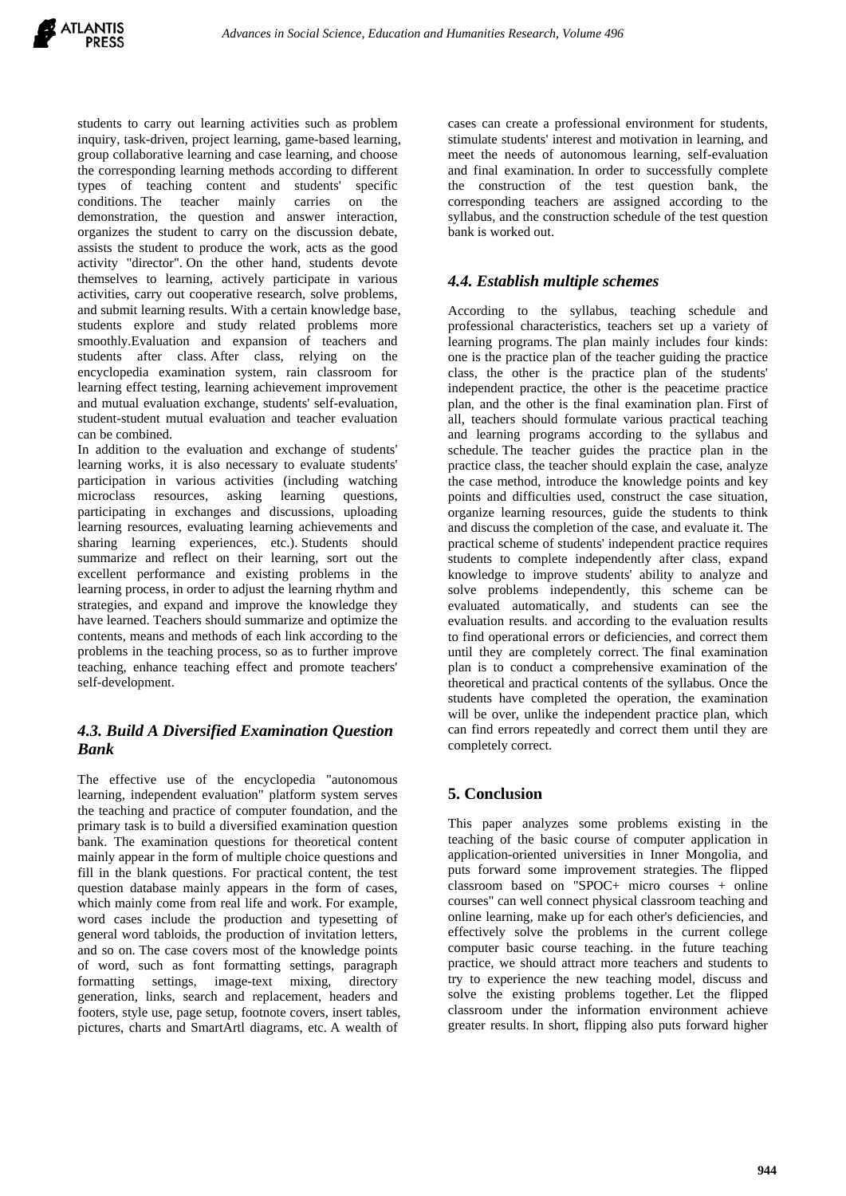students to carry out learning activities such as problem inquiry, task-driven, project learning, game-based learning, group collaborative learning and case learning, and choose the corresponding learning methods according to different types of teaching content and students' specific conditions. The teacher mainly carries on the demonstration, the question and answer interaction, organizes the student to carry on the discussion debate, assists the student to produce the work, acts as the good activity "director". On the other hand, students devote themselves to learning, actively participate in various activities, carry out cooperative research, solve problems, and submit learning results. With a certain knowledge base, students explore and study related problems more smoothly.Evaluation and expansion of teachers and students after class. After class, relying on the encyclopedia examination system, rain classroom for learning effect testing, learning achievement improvement and mutual evaluation exchange, students' self-evaluation, student-student mutual evaluation and teacher evaluation can be combined.

In addition to the evaluation and exchange of students' learning works, it is also necessary to evaluate students' participation in various activities (including watching microclass resources, asking learning questions, participating in exchanges and discussions, uploading learning resources, evaluating learning achievements and sharing learning experiences, etc.). Students should summarize and reflect on their learning, sort out the excellent performance and existing problems in the learning process, in order to adjust the learning rhythm and strategies, and expand and improve the knowledge they have learned. Teachers should summarize and optimize the contents, means and methods of each link according to the problems in the teaching process, so as to further improve teaching, enhance teaching effect and promote teachers' self-development.

# *4.3. Build A Diversified Examination Question Bank*

The effective use of the encyclopedia "autonomous learning, independent evaluation" platform system serves the teaching and practice of computer foundation, and the primary task is to build a diversified examination question bank. The examination questions for theoretical content mainly appear in the form of multiple choice questions and fill in the blank questions. For practical content, the test question database mainly appears in the form of cases, which mainly come from real life and work. For example, word cases include the production and typesetting of general word tabloids, the production of invitation letters, and so on. The case covers most of the knowledge points of word, such as font formatting settings, paragraph formatting settings, image-text mixing, directory generation, links, search and replacement, headers and footers, style use, page setup, footnote covers, insert tables, pictures, charts and SmartArtl diagrams, etc. A wealth of

cases can create a professional environment for students, stimulate students' interest and motivation in learning, and meet the needs of autonomous learning, self-evaluation and final examination. In order to successfully complete the construction of the test question bank, the corresponding teachers are assigned according to the syllabus, and the construction schedule of the test question bank is worked out.

## *4.4. Establish multiple schemes*

According to the syllabus, teaching schedule and professional characteristics, teachers set up a variety of learning programs. The plan mainly includes four kinds: one is the practice plan of the teacher guiding the practice class, the other is the practice plan of the students' independent practice, the other is the peacetime practice plan, and the other is the final examination plan. First of all, teachers should formulate various practical teaching and learning programs according to the syllabus and schedule. The teacher guides the practice plan in the practice class, the teacher should explain the case, analyze the case method, introduce the knowledge points and key points and difficulties used, construct the case situation, organize learning resources, guide the students to think and discuss the completion of the case, and evaluate it. The practical scheme of students' independent practice requires students to complete independently after class, expand knowledge to improve students' ability to analyze and solve problems independently, this scheme can be evaluated automatically, and students can see the evaluation results. and according to the evaluation results to find operational errors or deficiencies, and correct them until they are completely correct. The final examination plan is to conduct a comprehensive examination of the theoretical and practical contents of the syllabus. Once the students have completed the operation, the examination will be over, unlike the independent practice plan, which can find errors repeatedly and correct them until they are completely correct.

# **5. Conclusion**

This paper analyzes some problems existing in the teaching of the basic course of computer application in application-oriented universities in Inner Mongolia, and puts forward some improvement strategies. The flipped classroom based on "SPOC+ micro courses + online courses" can well connect physical classroom teaching and online learning, make up for each other's deficiencies, and effectively solve the problems in the current college computer basic course teaching. in the future teaching practice, we should attract more teachers and students to try to experience the new teaching model, discuss and solve the existing problems together. Let the flipped classroom under the information environment achieve greater results. In short, flipping also puts forward higher